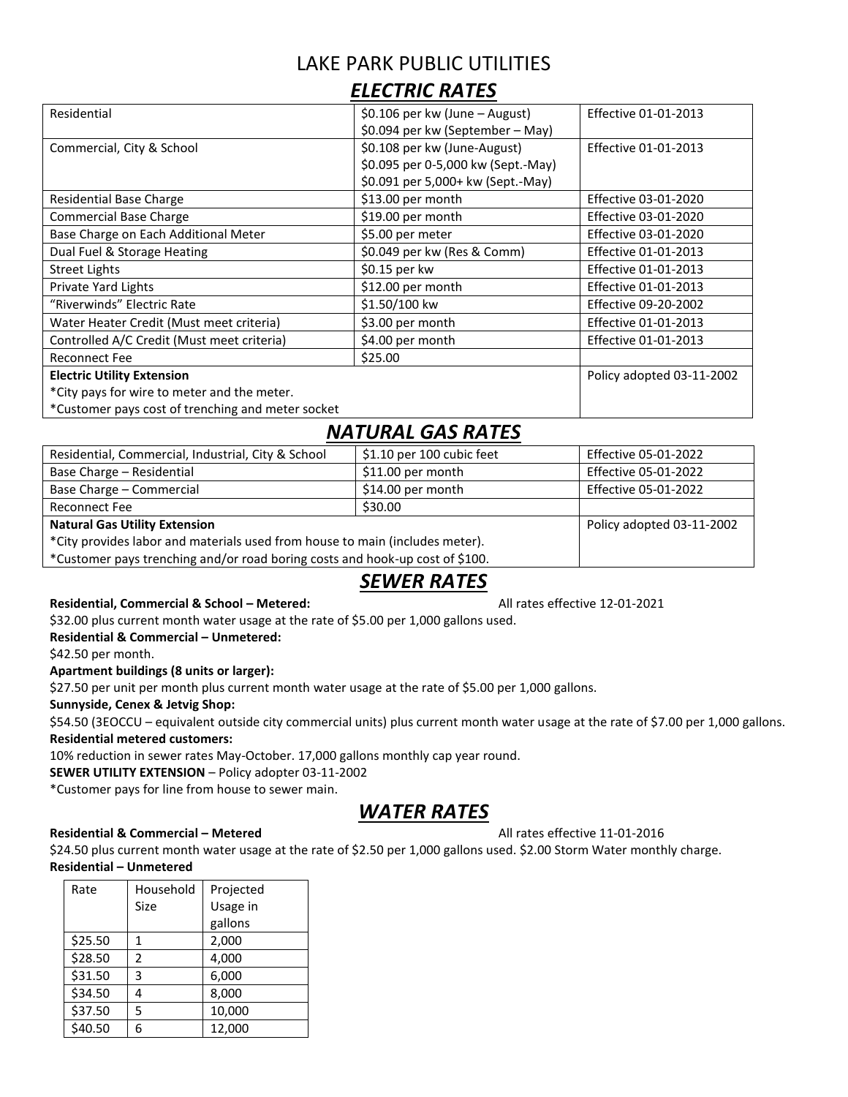## LAKE PARK PUBLIC UTILITIES

## *ELECTRIC RATES*

| Residential                                                    | \$0.106 per kw (June - August)     | Effective 01-01-2013      |
|----------------------------------------------------------------|------------------------------------|---------------------------|
|                                                                | \$0.094 per kw (September - May)   |                           |
| Commercial, City & School                                      | \$0.108 per kw (June-August)       | Effective 01-01-2013      |
|                                                                | \$0.095 per 0-5,000 kw (Sept.-May) |                           |
|                                                                | \$0.091 per 5,000+ kw (Sept.-May)  |                           |
| <b>Residential Base Charge</b>                                 | \$13.00 per month                  | Effective 03-01-2020      |
| <b>Commercial Base Charge</b>                                  | $$19.00$ per month                 | Effective 03-01-2020      |
| Base Charge on Each Additional Meter                           | \$5.00 per meter                   | Effective 03-01-2020      |
| Dual Fuel & Storage Heating                                    | \$0.049 per kw (Res & Comm)        | Effective 01-01-2013      |
| <b>Street Lights</b>                                           | \$0.15 per kw                      | Effective 01-01-2013      |
| Private Yard Lights                                            | \$12.00 per month                  | Effective 01-01-2013      |
| "Riverwinds" Electric Rate                                     | \$1.50/100 kw                      | Effective 09-20-2002      |
| Water Heater Credit (Must meet criteria)                       | \$3.00 per month                   | Effective 01-01-2013      |
| Controlled A/C Credit (Must meet criteria)<br>\$4.00 per month |                                    | Effective 01-01-2013      |
| <b>Reconnect Fee</b><br>\$25.00                                |                                    |                           |
| <b>Electric Utility Extension</b>                              |                                    | Policy adopted 03-11-2002 |
| *City pays for wire to meter and the meter.                    |                                    |                           |
| *Customer pays cost of trenching and meter socket              |                                    |                           |

## *NATURAL GAS RATES*

| Residential, Commercial, Industrial, City & School                           | \$1.10 per 100 cubic feet | Effective 05-01-2022      |
|------------------------------------------------------------------------------|---------------------------|---------------------------|
| Base Charge - Residential                                                    | $$11.00$ per month        | Effective 05-01-2022      |
| Base Charge - Commercial<br>$$14.00$ per month                               |                           | Effective 05-01-2022      |
| <b>Reconnect Fee</b>                                                         | \$30.00                   |                           |
| <b>Natural Gas Utility Extension</b>                                         |                           | Policy adopted 03-11-2002 |
| *City provides labor and materials used from house to main (includes meter). |                           |                           |
| *Customer pays trenching and/or road boring costs and hook-up cost of \$100. |                           |                           |

## *SEWER RATES*

#### **Residential, Commercial & School – Metered:** All rates effective 12-01-2021

\$32.00 plus current month water usage at the rate of \$5.00 per 1,000 gallons used.

**Residential & Commercial – Unmetered:**

\$42.50 per month.

**Apartment buildings (8 units or larger):**

\$27.50 per unit per month plus current month water usage at the rate of \$5.00 per 1,000 gallons.

#### **Sunnyside, Cenex & Jetvig Shop:**

\$54.50 (3EOCCU – equivalent outside city commercial units) plus current month water usage at the rate of \$7.00 per 1,000 gallons. **Residential metered customers:**

10% reduction in sewer rates May-October. 17,000 gallons monthly cap year round.

**SEWER UTILITY EXTENSION** – Policy adopter 03-11-2002

\*Customer pays for line from house to sewer main.

## *WATER RATES*

**Residential & Commercial – Metered** All rates effective 11-01-2016

\$24.50 plus current month water usage at the rate of \$2.50 per 1,000 gallons used. \$2.00 Storm Water monthly charge. **Residential – Unmetered**

| Rate    | Household     | Projected |
|---------|---------------|-----------|
|         | Size          | Usage in  |
|         |               | gallons   |
| \$25.50 |               | 2,000     |
| \$28.50 | $\mathcal{P}$ | 4,000     |
| \$31.50 | 3             | 6,000     |
| \$34.50 |               | 8,000     |
| \$37.50 | 5             | 10,000    |
| \$40.50 | հ             | 12,000    |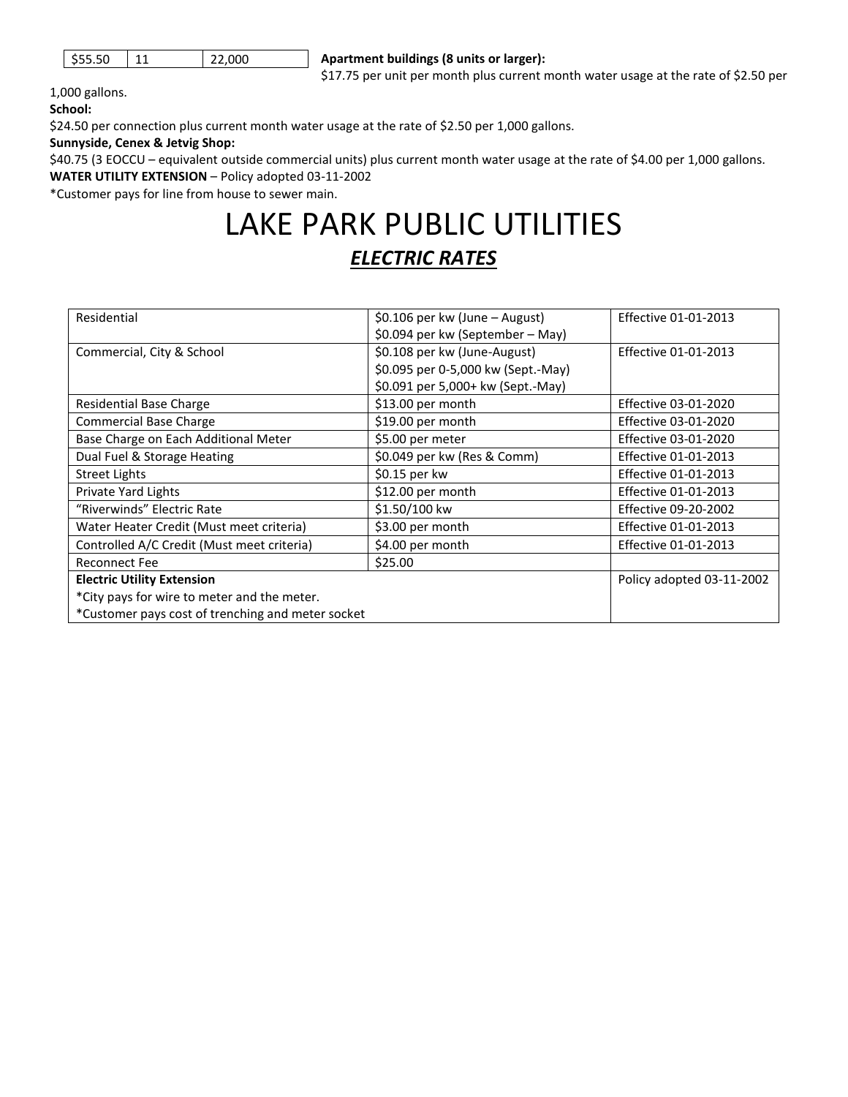| \$55.50 |  | 22,000 |
|---------|--|--------|
|---------|--|--------|

#### **Apartment buildings (8 units or larger):**

\$17.75 per unit per month plus current month water usage at the rate of \$2.50 per

1,000 gallons.

#### **School:**

\$24.50 per connection plus current month water usage at the rate of \$2.50 per 1,000 gallons.

#### **Sunnyside, Cenex & Jetvig Shop:**

\$40.75 (3 EOCCU – equivalent outside commercial units) plus current month water usage at the rate of \$4.00 per 1,000 gallons.

**WATER UTILITY EXTENSION** – Policy adopted 03-11-2002

\*Customer pays for line from house to sewer main.

# LAKE PARK PUBLIC UTILITIES *ELECTRIC RATES*

| Residential                                       | \$0.106 per kw (June - August)     | Effective 01-01-2013      |
|---------------------------------------------------|------------------------------------|---------------------------|
|                                                   | \$0.094 per kw (September - May)   |                           |
| Commercial, City & School                         | \$0.108 per kw (June-August)       | Effective 01-01-2013      |
|                                                   | \$0.095 per 0-5,000 kw (Sept.-May) |                           |
|                                                   | \$0.091 per 5,000+ kw (Sept.-May)  |                           |
| <b>Residential Base Charge</b>                    | \$13.00 per month                  | Effective 03-01-2020      |
| <b>Commercial Base Charge</b>                     | \$19.00 per month                  | Effective 03-01-2020      |
| Base Charge on Each Additional Meter              | \$5.00 per meter                   | Effective 03-01-2020      |
| Dual Fuel & Storage Heating                       | \$0.049 per kw (Res & Comm)        | Effective 01-01-2013      |
| <b>Street Lights</b>                              | \$0.15 per kw                      | Effective 01-01-2013      |
| Private Yard Lights                               | \$12.00 per month                  | Effective 01-01-2013      |
| "Riverwinds" Electric Rate                        | \$1.50/100 kw                      | Effective 09-20-2002      |
| Water Heater Credit (Must meet criteria)          | \$3.00 per month                   | Effective 01-01-2013      |
| Controlled A/C Credit (Must meet criteria)        | \$4.00 per month                   | Effective 01-01-2013      |
| \$25.00<br><b>Reconnect Fee</b>                   |                                    |                           |
| <b>Electric Utility Extension</b>                 |                                    | Policy adopted 03-11-2002 |
| *City pays for wire to meter and the meter.       |                                    |                           |
| *Customer pays cost of trenching and meter socket |                                    |                           |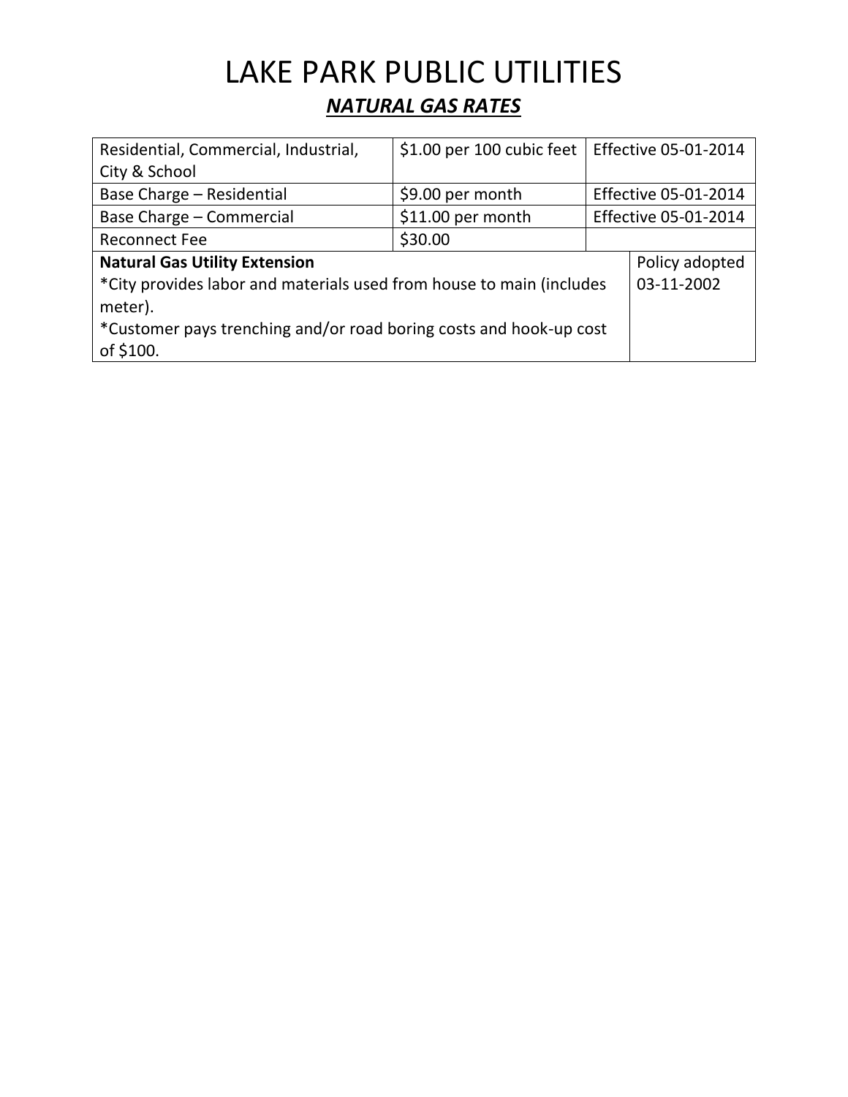# LAKE PARK PUBLIC UTILITIES *NATURAL GAS RATES*

| Residential, Commercial, Industrial,                                 | \$1.00 per 100 cubic feet |  | <b>Effective 05-01-2014</b> |
|----------------------------------------------------------------------|---------------------------|--|-----------------------------|
| City & School                                                        |                           |  |                             |
| <b>Base Charge - Residential</b>                                     | \$9.00 per month          |  | Effective 05-01-2014        |
| Base Charge - Commercial                                             | \$11.00 per month         |  | Effective 05-01-2014        |
| <b>Reconnect Fee</b>                                                 | \$30.00                   |  |                             |
| <b>Natural Gas Utility Extension</b>                                 |                           |  | Policy adopted              |
| *City provides labor and materials used from house to main (includes |                           |  | 03-11-2002                  |
| meter).                                                              |                           |  |                             |
| *Customer pays trenching and/or road boring costs and hook-up cost   |                           |  |                             |
| of \$100.                                                            |                           |  |                             |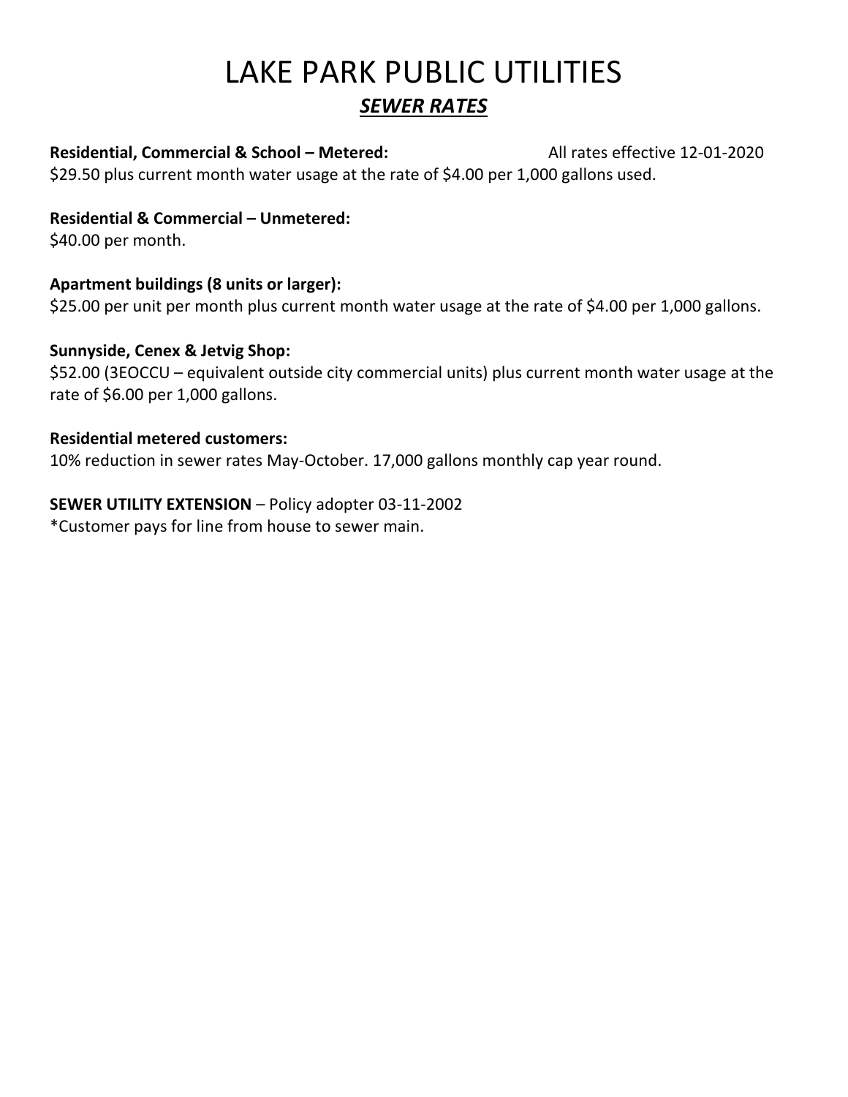# LAKE PARK PUBLIC UTILITIES *SEWER RATES*

**Residential, Commercial & School – Metered:** All rates effective 12-01-2020 \$29.50 plus current month water usage at the rate of \$4.00 per 1,000 gallons used.

#### **Residential & Commercial – Unmetered:** \$40.00 per month.

### **Apartment buildings (8 units or larger):**

\$25.00 per unit per month plus current month water usage at the rate of \$4.00 per 1,000 gallons.

### **Sunnyside, Cenex & Jetvig Shop:**

\$52.00 (3EOCCU – equivalent outside city commercial units) plus current month water usage at the rate of \$6.00 per 1,000 gallons.

### **Residential metered customers:**

10% reduction in sewer rates May-October. 17,000 gallons monthly cap year round.

### **SEWER UTILITY EXTENSION** – Policy adopter 03-11-2002

\*Customer pays for line from house to sewer main.